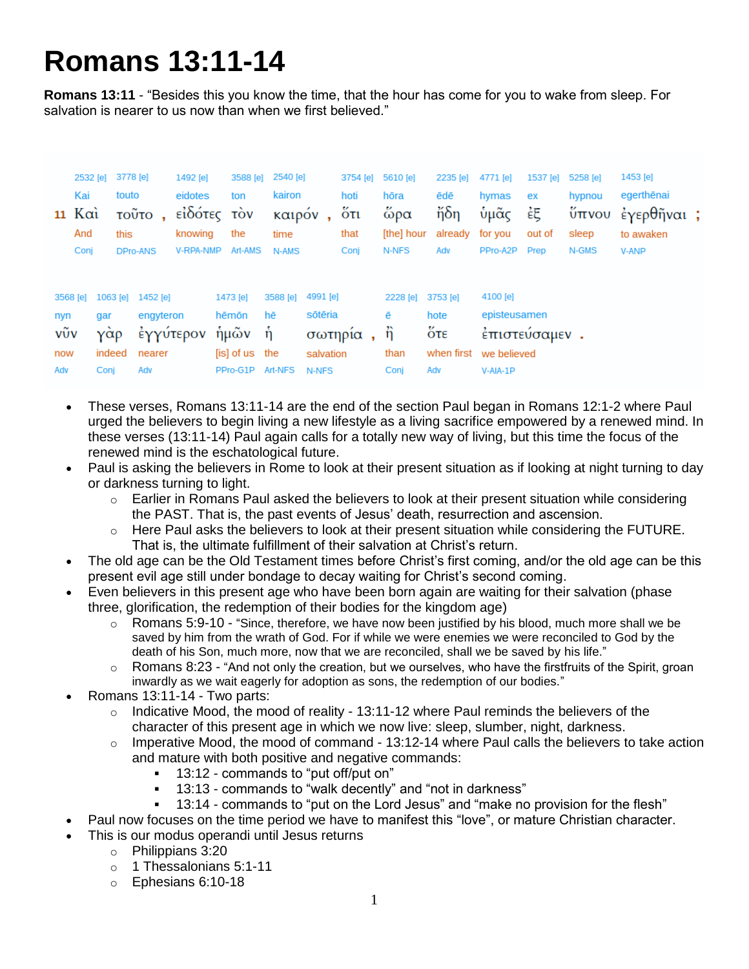## **Romans 13:11-14**

**Romans 13:11** - "Besides this you know the time, that the hour has come for you to wake from sleep. For salvation is nearer to us now than when we first believed."

| $11$ K $\alpha$                      | 2532 [e]<br>Kai<br>And<br>Conj | 3778 [e]<br>touto<br>this<br><b>DPro-ANS</b> | τοῦτο,                                                       | 1492 [e]<br>eidotes<br>εἰδότες τὸν<br>knowing<br>V-RPA-NMP | 3588 [e]<br>ton<br>the<br>Art-AMS                                 | 2540 [e]<br>kairon<br>καιρόν<br>time<br>N-AMS |                                                      | 3754 [e]<br>hoti<br>$5\sigma$<br>that<br>Conj | 5610 [e]<br>hōra<br>ὥρα<br>[the] hour<br>N-NFS          | 2235 [e]<br>ēdē<br>$\frac{1}{10}$ δη<br>already for you<br>Adv               | 4771 [e]<br>hymas<br>ὑμᾶς<br>PPro-A2P                 | 1537 [e]<br>ex<br>έξ<br>out of<br>Prep | 5258 [e]<br>hypnou<br>sleep<br>N-GMS | 1453 [e]<br>egerthēnai<br>ύπνου έγερθῆναι;<br>to awaken<br><b>V-ANP</b> |  |
|--------------------------------------|--------------------------------|----------------------------------------------|--------------------------------------------------------------|------------------------------------------------------------|-------------------------------------------------------------------|-----------------------------------------------|------------------------------------------------------|-----------------------------------------------|---------------------------------------------------------|------------------------------------------------------------------------------|-------------------------------------------------------|----------------------------------------|--------------------------------------|-------------------------------------------------------------------------|--|
| 3568 [e]<br>nyn<br>νῦν<br>now<br>Adv | gar<br>γὰρ<br>indeed<br>Conj   |                                              | 1063 [e] 1452 [e]<br>engyteron<br>έγγύτερον<br>nearer<br>Adv |                                                            | 1473 [e]<br>hēmōn<br>ήμῶν ἡ<br>[is] of us the<br>PPro-G1P Art-NFS | 3588 [e]<br>hē                                | 4991 [e]<br>sōtēria<br>σωτηρία<br>salvation<br>N-NFS | $\mathbf{r}$                                  | 2228 [e] 3753 [e]<br>ē<br>$\ddot{\eta}$<br>than<br>Conj | hote<br>$\overset{\text{K}}{\mathsf{O}}$ τε<br>when first we believed<br>Adv | 4100 [e]<br>episteusamen<br>έπιστεύσαμεν.<br>V-AIA-1P |                                        |                                      |                                                                         |  |

- These verses, Romans 13:11-14 are the end of the section Paul began in Romans 12:1-2 where Paul urged the believers to begin living a new lifestyle as a living sacrifice empowered by a renewed mind. In these verses (13:11-14) Paul again calls for a totally new way of living, but this time the focus of the renewed mind is the eschatological future.
- Paul is asking the believers in Rome to look at their present situation as if looking at night turning to day or darkness turning to light.
	- $\circ$  Earlier in Romans Paul asked the believers to look at their present situation while considering the PAST. That is, the past events of Jesus' death, resurrection and ascension.
	- $\circ$  Here Paul asks the believers to look at their present situation while considering the FUTURE. That is, the ultimate fulfillment of their salvation at Christ's return.
- The old age can be the Old Testament times before Christ's first coming, and/or the old age can be this present evil age still under bondage to decay waiting for Christ's second coming.
- Even believers in this present age who have been born again are waiting for their salvation (phase three, glorification, the redemption of their bodies for the kingdom age)
	- $\circ$  Romans 5:9-10 "Since, therefore, we have now been justified by his blood, much more shall we be saved by him from the wrath of God. For if while we were enemies we were reconciled to God by the death of his Son, much more, now that we are reconciled, shall we be saved by his life."
	- o Romans 8:23 "And not only the creation, but we ourselves, who have the firstfruits of the Spirit, groan inwardly as we wait eagerly for adoption as sons, the redemption of our bodies."
- Romans 13:11-14 Two parts:
	- $\circ$  Indicative Mood, the mood of reality 13:11-12 where Paul reminds the believers of the character of this present age in which we now live: sleep, slumber, night, darkness.
	- $\circ$  Imperative Mood, the mood of command 13:12-14 where Paul calls the believers to take action and mature with both positive and negative commands:
		- 13:12 commands to "put off/put on"
		- 13:13 commands to "walk decently" and "not in darkness"
		- 13:14 commands to "put on the Lord Jesus" and "make no provision for the flesh"
- Paul now focuses on the time period we have to manifest this "love", or mature Christian character.
- This is our modus operandi until Jesus returns
	- o Philippians 3:20
	- o 1 Thessalonians 5:1-11
	- o Ephesians 6:10-18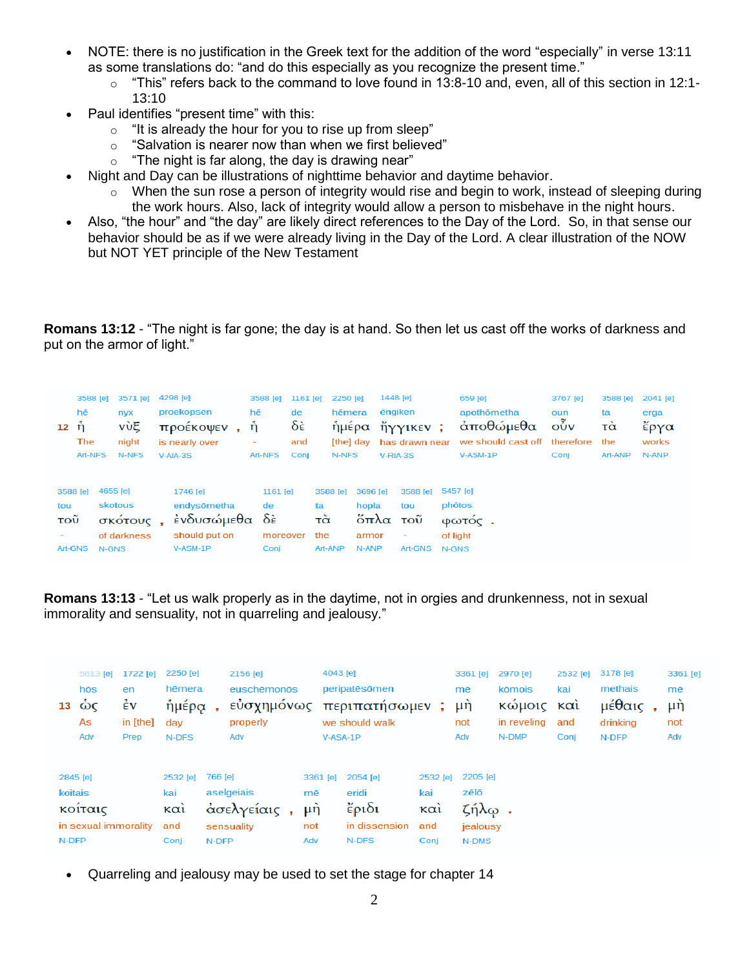- NOTE: there is no justification in the Greek text for the addition of the word "especially" in verse 13:11 as some translations do: "and do this especially as you recognize the present time."
	- $\circ$  "This" refers back to the command to love found in 13:8-10 and, even, all of this section in 12:1-13:10
- Paul identifies "present time" with this:
	- o "It is already the hour for you to rise up from sleep"
	- $\circ$  "Salvation is nearer now than when we first believed"
	- $\circ$  "The night is far along, the day is drawing near"
	- Night and Day can be illustrations of nighttime behavior and daytime behavior.
		- $\circ$  When the sun rose a person of integrity would rise and begin to work, instead of sleeping during the work hours. Also, lack of integrity would allow a person to misbehave in the night hours.
- Also, "the hour" and "the day" are likely direct references to the Day of the Lord. So, in that sense our behavior should be as if we were already living in the Day of the Lord. A clear illustration of the NOW but NOT YET principle of the New Testament

**Romans 13:12** - "The night is far gone; the day is at hand. So then let us cast off the works of darkness and put on the armor of light."

| $12 \quad \dot{\eta}$ | 3588 [e]<br>hē<br>The<br>Art-NFS |                              | 3571 [e]<br>nyx<br>νὺξ<br>night<br>N-NFS | 4298 [e]<br>proekopsen<br>προέκοψεν<br>is nearly over<br>$V-AIA-3S$     | hē<br>ή<br>٠ | 3588 [e]<br>Art-NFS                | 1161 [e]<br>de<br>$\delta \hat{\epsilon}$<br>and<br>Conj |                 | 2250 [e]<br>hēmera<br>ήμέρα<br>[the] day<br>N-NFS |                                             | 1448 [e]<br>ēngiken<br>$V-RIA-3S$ | ἤγγικεν ;<br>has drawn near            |       | 659 [e]<br>apothōmetha<br>άποθώμεθα<br>we should cast off<br>$V-ASM-1P$ | 3767 [e]<br>oun<br>$\vec{\delta}$<br>therefore<br>Conj | 3588 [e]<br>ta<br>τὰ<br>the<br>Art-ANP | 2041 [e]<br>erga<br>ἔργα<br>works<br>N-ANP |
|-----------------------|----------------------------------|------------------------------|------------------------------------------|-------------------------------------------------------------------------|--------------|------------------------------------|----------------------------------------------------------|-----------------|---------------------------------------------------|---------------------------------------------|-----------------------------------|----------------------------------------|-------|-------------------------------------------------------------------------|--------------------------------------------------------|----------------------------------------|--------------------------------------------|
| tou<br>τοῦ            | 3588 [e]<br>Art-GNS              | 4655 [e]<br>skotous<br>N-GNS | σκότους,<br>of darkness                  | 1746 [e]<br>endysömetha<br>ένδυσώμεθα δε<br>should put on<br>$V-ASM-1P$ |              | 1161 [e]<br>de<br>moreover<br>Conj |                                                          | ta<br>τὰ<br>the | 3588 [e]<br>Art-ANP                               | 3696 [e]<br>hopla<br>ὄπλα<br>armor<br>N-ANP |                                   | 3588 [e]<br>tou<br>τοῦ<br>۰<br>Art-GNS | N-GNS | 5457 [e]<br>phōtos<br>Φωτος.<br>of light                                |                                                        |                                        |                                            |

**Romans 13:13** - "Let us walk properly as in the daytime, not in orgies and drunkenness, not in sexual immorality and sensuality, not in quarreling and jealousy."

| 13                   | 5613 [e]<br>hōs<br>ώς<br>As<br>Adv | 1722 [e]<br>en<br>$\dot{\epsilon}$ v<br>in [the]<br>Prep | 2250 [e]<br>hēmera<br>ὴμέρα<br>dav<br>N-DFS |            | 2156 [e]<br>euschēmonōs<br>εύσχημόνως<br>properly<br>Adv |                | 4043 [e]                                     | peripatēsōmen<br>περιπατήσωμεν;<br>we should walk<br>V-ASA-1P |                 | 3361 [e]<br>mē<br>μ <sup>λ</sup><br>not<br>Adv | 2970 [e]<br>kōmois<br>κώμοις και<br>in reveling<br>N-DMP | 2532 [e]<br>kai<br>and<br>Conj | 3178 [e]<br>methais<br>μέθαις<br>drinkina<br>N-DFP |  | 3361 [e]<br>mē<br>μή<br>not<br>Adv |  |
|----------------------|------------------------------------|----------------------------------------------------------|---------------------------------------------|------------|----------------------------------------------------------|----------------|----------------------------------------------|---------------------------------------------------------------|-----------------|------------------------------------------------|----------------------------------------------------------|--------------------------------|----------------------------------------------------|--|------------------------------------|--|
|                      | 2845 [e]                           |                                                          | 2532 [e]<br>kai                             | 766 [e]    |                                                          |                | 3361 [e]<br>mē                               | 2054 [e]<br>eridi                                             | 2532 [e]<br>kai | 2205 [e]<br>zēlō                               |                                                          |                                |                                                    |  |                                    |  |
| koitais<br>κοίταις   |                                    | καὶ                                                      | aselgeiais<br>ασελγείαις                    |            |                                                          | μ <sup>η</sup> | $\epsilon$ <sup>p</sup> <sub>10</sub><br>καὶ |                                                               |                 | ζήλ $\omega$ .                                 |                                                          |                                |                                                    |  |                                    |  |
| in sexual immorality |                                    |                                                          | and                                         | sensuality |                                                          |                | not                                          | in dissension<br>and<br>Conj                                  |                 |                                                | jealousy                                                 |                                |                                                    |  |                                    |  |
| N-DFP                |                                    |                                                          | Conj                                        | N-DFP      |                                                          | Adv            |                                              | N-DFS                                                         |                 |                                                | N-DMS                                                    |                                |                                                    |  |                                    |  |

Quarreling and jealousy may be used to set the stage for chapter 14